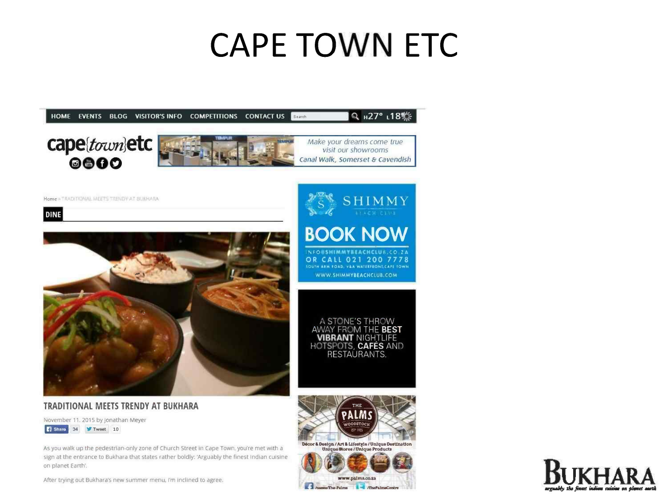## **CAPE TOWN ETC**

Annee The-Palms And The PalmsCentre





After trying out Bukhara's new summer menu, I'm inclined to agree.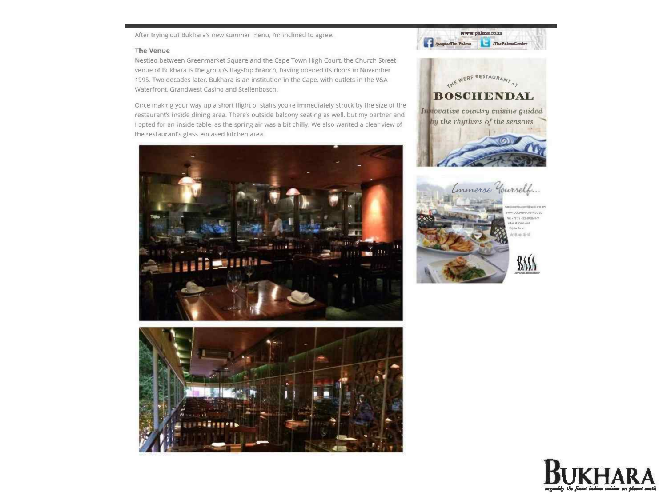After trying out Bukhara's new summer menu, I'm inclined to agree.

## The Venue

Nestled between Greenmarket Square and the Cape Town High Court, the Church Street venue of Bukhara is the group's flagship branch, having opened its doors in November 1995. Two decades later. Bukhara is an institution In the Cape. with outlets in the V&A Waterfront. Grandwest Casino and Stellenbosch.

Once making your way up a short flight of stairs you're Immediately struck by the size of the restaurant's inside dining area. There's outside balcony seating as well. but my partner and I opted for an Inside table, as the spring air was a bit chilly. We also wanted a clear view of the restaurant's glass-encased kitchen area.







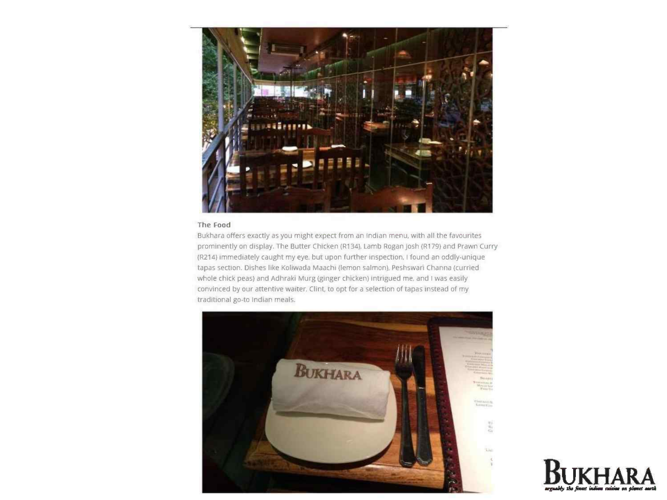

## The **Food**

Bukhara offers exactly as you might expect from an Indian menu, with all the favourites prominently on display. The Butter Chicken (R134), Lamb Rogan Josh (R 179) and Prawn Curry (R214) Immediately caught my eye. but upon further inspection, I found an oddly-unique tapas section. Dishes like Koliwada Maachi (lemon salmon), Peshswari Channa (curried whole chick peas) and Adhraki Murg (ginger chicken) intrigued me, and I was easily convinced by our attentive waiter. Clint, to opt for a selection of tapas instead of my traditional go-to Indian meals.



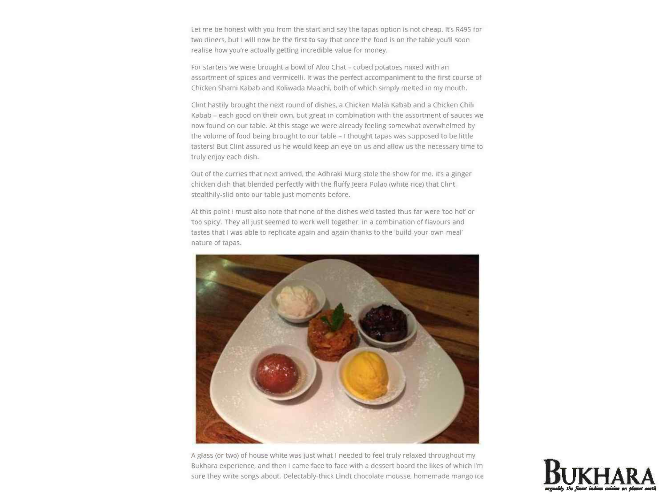Let me be honest with you from the start and say the tapas option is not cheap. It's R495 for two diners, but I will now be the first to say that once the food is on the table you'll soon realise how you're actually getting incredible value for money.

For starters we were brought a bowl of Aloo Chat - cubed potatoes mixed with an assortment of spices and vermicelli. It was the perfect accompamment to the first course of Chicken Shami Kabab and Koliwada Maachl, both of which simply melted In my mouth.

Clint hastily brought the next round of dishes, a Chicken Malai Kabab and a Chicken Chili Kabab - each good on their own. but great in combination with the assortment of sauces we now found on our table. At this stage we were already feeling somewhat overwhelmed by the volume of food being brought to our table - I thought tapas was supposed to be little tasters! But Clint assured us he would keep an eye on us and allow us the necessary time to truly enjoy each dish.

Out of the curnes that next arnved, the Adhraki Murg stole the show for me. Irs a ginger chicken dish that blended perfectly with the fluffy jeers Pulao (white rice) that Clint stealthily-slid onto our table just moments before.

At this point I must also note that none of the dishes we'd tasted thus far were 'too hot' or 100 spicy'. They all just seemed to work well together, In a combination of flavours and tastes that I was able to replicate again and again thanks to the 'build-your-own-meal' nature of tapas.



A glass (or two) of house white was Just what I needed to feel truly relaxed throughout my Bukhara experience, and then I came face to face with a dessert board the likes of which I'm sure they write songs about. Delectably-thick Lindt chocolate mousse, homemade mango ice